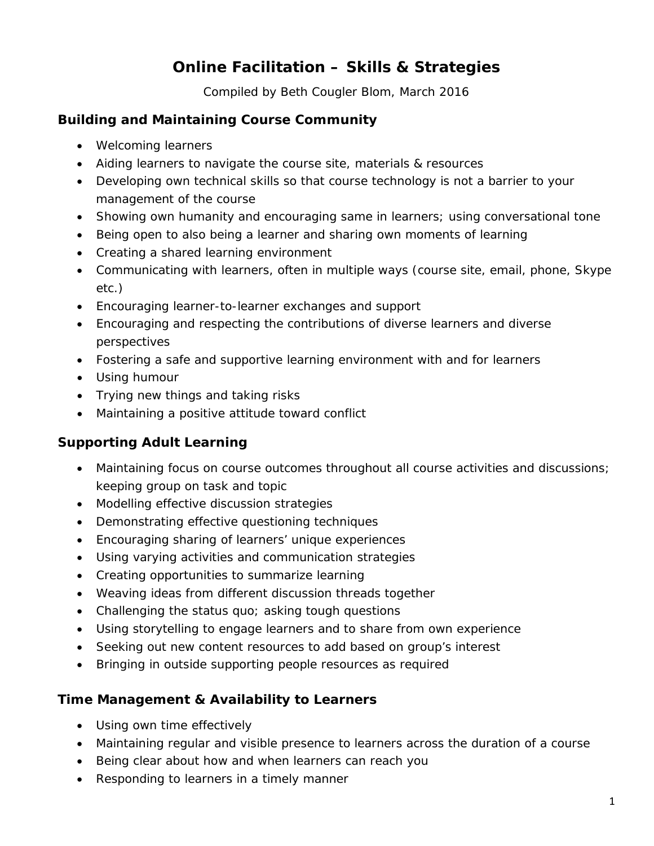# **Online Facilitation – Skills & Strategies**

Compiled by Beth Cougler Blom, March 2016

### **Building and Maintaining Course Community**

- Welcoming learners
- Aiding learners to navigate the course site, materials & resources
- Developing own technical skills so that course technology is not a barrier to your management of the course
- Showing own humanity and encouraging same in learners; using conversational tone
- Being open to also being a learner and sharing own moments of learning
- Creating a shared learning environment
- Communicating with learners, often in multiple ways (course site, email, phone, Skype etc.)
- Encouraging learner-to-learner exchanges and support
- Encouraging and respecting the contributions of diverse learners and diverse perspectives
- Fostering a safe and supportive learning environment with and for learners
- Using humour
- Trying new things and taking risks
- Maintaining a positive attitude toward conflict

# **Supporting Adult Learning**

- Maintaining focus on course outcomes throughout all course activities and discussions; keeping group on task and topic
- Modelling effective discussion strategies
- Demonstrating effective questioning techniques
- Encouraging sharing of learners' unique experiences
- Using varying activities and communication strategies
- Creating opportunities to summarize learning
- Weaving ideas from different discussion threads together
- Challenging the status quo; asking tough questions
- Using storytelling to engage learners and to share from own experience
- Seeking out new content resources to add based on group's interest
- Bringing in outside supporting people resources as required

#### **Time Management & Availability to Learners**

- Using own time effectively
- Maintaining regular and visible presence to learners across the duration of a course
- Being clear about how and when learners can reach you
- Responding to learners in a timely manner